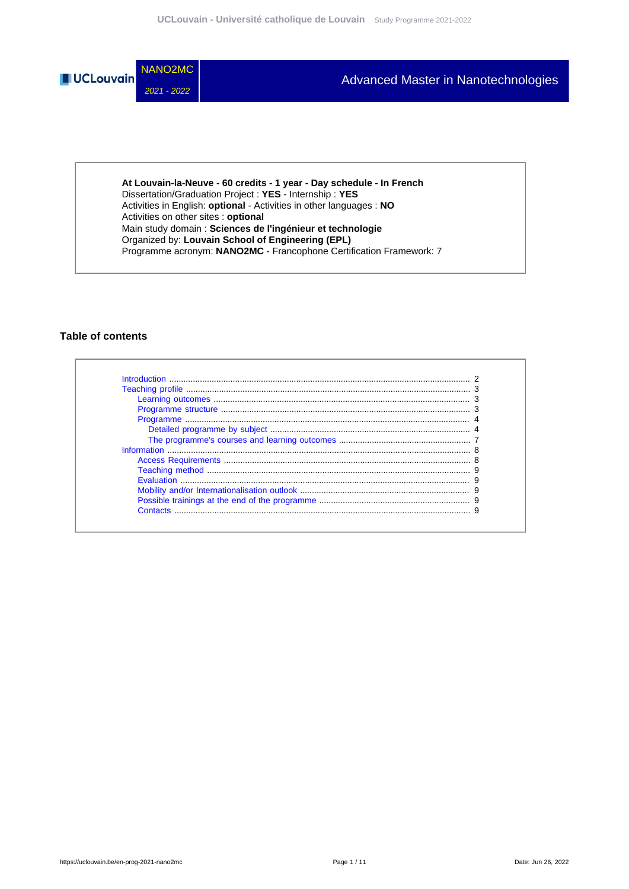

**At Louvain-la-Neuve - 60 credits - 1 year - Day schedule - In French** Dissertation/Graduation Project : **YES** - Internship : **YES** Activities in English: **optional** - Activities in other languages : **NO** Activities on other sites : **optional** Main study domain : **Sciences de l'ingénieur et technologie** Organized by: **Louvain School of Engineering (EPL)** Programme acronym: **NANO2MC** - Francophone Certification Framework: 7

### **Table of contents**

| $\begin{minipage}{0.9\linewidth} \textbf{Programme structure} \end{minipage} \vspace{0.05in} \begin{minipage}{0.95\linewidth} \textbf{7} \textbf{7} \textbf{7} \textbf{8} \textbf{9} \textbf{19} \textbf{19} \textbf{19} \textbf{19} \textbf{19} \textbf{19} \textbf{19} \textbf{19} \textbf{19} \textbf{19} \textbf{19} \textbf{19} \textbf{19} \textbf{19} \textbf{19} \textbf{19} \textbf{19} \textbf{19} \textbf{19} \textbf{1$ |  |
|-------------------------------------------------------------------------------------------------------------------------------------------------------------------------------------------------------------------------------------------------------------------------------------------------------------------------------------------------------------------------------------------------------------------------------------|--|
|                                                                                                                                                                                                                                                                                                                                                                                                                                     |  |
|                                                                                                                                                                                                                                                                                                                                                                                                                                     |  |
|                                                                                                                                                                                                                                                                                                                                                                                                                                     |  |
|                                                                                                                                                                                                                                                                                                                                                                                                                                     |  |
|                                                                                                                                                                                                                                                                                                                                                                                                                                     |  |
|                                                                                                                                                                                                                                                                                                                                                                                                                                     |  |
|                                                                                                                                                                                                                                                                                                                                                                                                                                     |  |
|                                                                                                                                                                                                                                                                                                                                                                                                                                     |  |
| Contacts                                                                                                                                                                                                                                                                                                                                                                                                                            |  |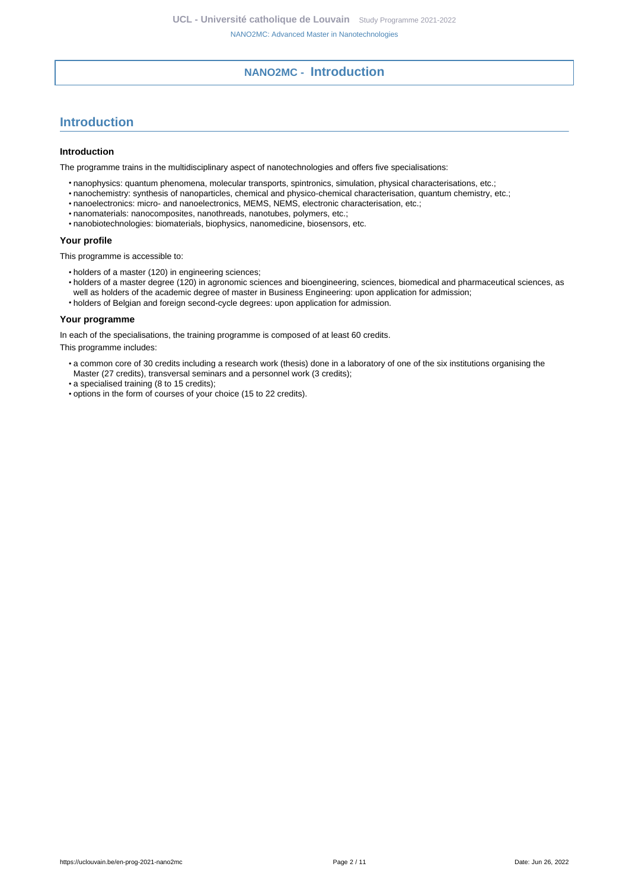# **NANO2MC - Introduction**

# <span id="page-1-0"></span>**Introduction**

### **Introduction**

The programme trains in the multidisciplinary aspect of nanotechnologies and offers five specialisations:

- nanophysics: quantum phenomena, molecular transports, spintronics, simulation, physical characterisations, etc.;
- nanochemistry: synthesis of nanoparticles, chemical and physico-chemical characterisation, quantum chemistry, etc.;
- nanoelectronics: micro- and nanoelectronics, MEMS, NEMS, electronic characterisation, etc.;
- nanomaterials: nanocomposites, nanothreads, nanotubes, polymers, etc.;
- nanobiotechnologies: biomaterials, biophysics, nanomedicine, biosensors, etc.

### **Your profile**

This programme is accessible to:

- holders of a master (120) in engineering sciences;
- holders of a master degree (120) in agronomic sciences and bioengineering, sciences, biomedical and pharmaceutical sciences, as well as holders of the academic degree of master in Business Engineering: upon application for admission;
- holders of Belgian and foreign second-cycle degrees: upon application for admission.

### **Your programme**

In each of the specialisations, the training programme is composed of at least 60 credits.

This programme includes:

- a common core of 30 credits including a research work (thesis) done in a laboratory of one of the six institutions organising the Master (27 credits), transversal seminars and a personnel work (3 credits);
- a specialised training (8 to 15 credits);
- options in the form of courses of your choice (15 to 22 credits).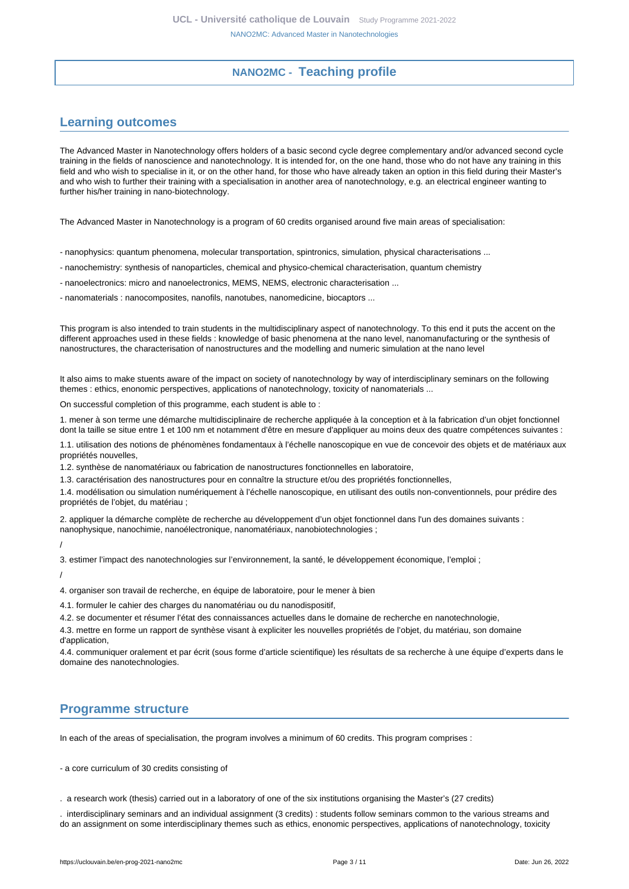# **NANO2MC - Teaching profile**

# <span id="page-2-1"></span><span id="page-2-0"></span>**Learning outcomes**

The Advanced Master in Nanotechnology offers holders of a basic second cycle degree complementary and/or advanced second cycle training in the fields of nanoscience and nanotechnology. It is intended for, on the one hand, those who do not have any training in this field and who wish to specialise in it, or on the other hand, for those who have already taken an option in this field during their Master's and who wish to further their training with a specialisation in another area of nanotechnology, e.g. an electrical engineer wanting to further his/her training in nano-biotechnology.

The Advanced Master in Nanotechnology is a program of 60 credits organised around five main areas of specialisation:

- nanophysics: quantum phenomena, molecular transportation, spintronics, simulation, physical characterisations ...
- nanochemistry: synthesis of nanoparticles, chemical and physico-chemical characterisation, quantum chemistry
- nanoelectronics: micro and nanoelectronics, MEMS, NEMS, electronic characterisation ...
- nanomaterials : nanocomposites, nanofils, nanotubes, nanomedicine, biocaptors ...

This program is also intended to train students in the multidisciplinary aspect of nanotechnology. To this end it puts the accent on the different approaches used in these fields : knowledge of basic phenomena at the nano level, nanomanufacturing or the synthesis of nanostructures, the characterisation of nanostructures and the modelling and numeric simulation at the nano level

It also aims to make stuents aware of the impact on society of nanotechnology by way of interdisciplinary seminars on the following themes : ethics, enonomic perspectives, applications of nanotechnology, toxicity of nanomaterials ...

On successful completion of this programme, each student is able to :

1. mener à son terme une démarche multidisciplinaire de recherche appliquée à la conception et à la fabrication d'un objet fonctionnel dont la taille se situe entre 1 et 100 nm et notamment d'être en mesure d'appliquer au moins deux des quatre compétences suivantes :

1.1. utilisation des notions de phénomènes fondamentaux à l'échelle nanoscopique en vue de concevoir des objets et de matériaux aux propriétés nouvelles,

1.2. synthèse de nanomatériaux ou fabrication de nanostructures fonctionnelles en laboratoire,

1.3. caractérisation des nanostructures pour en connaître la structure et/ou des propriétés fonctionnelles,

1.4. modélisation ou simulation numériquement à l'échelle nanoscopique, en utilisant des outils non-conventionnels, pour prédire des propriétés de l'objet, du matériau ;

2. appliquer la démarche complète de recherche au développement d'un objet fonctionnel dans l'un des domaines suivants : nanophysique, nanochimie, nanoélectronique, nanomatériaux, nanobiotechnologies ;

/

3. estimer l'impact des nanotechnologies sur l'environnement, la santé, le développement économique, l'emploi ;

/

4. organiser son travail de recherche, en équipe de laboratoire, pour le mener à bien

4.1. formuler le cahier des charges du nanomatériau ou du nanodispositif,

4.2. se documenter et résumer l'état des connaissances actuelles dans le domaine de recherche en nanotechnologie,

4.3. mettre en forme un rapport de synthèse visant à expliciter les nouvelles propriétés de l'objet, du matériau, son domaine d'application,

4.4. communiquer oralement et par écrit (sous forme d'article scientifique) les résultats de sa recherche à une équipe d'experts dans le domaine des nanotechnologies.

## <span id="page-2-2"></span>**Programme structure**

In each of the areas of specialisation, the program involves a minimum of 60 credits. This program comprises :

- a core curriculum of 30 credits consisting of

. a research work (thesis) carried out in a laboratory of one of the six institutions organising the Master's (27 credits)

. interdisciplinary seminars and an individual assignment (3 credits) : students follow seminars common to the various streams and do an assignment on some interdisciplinary themes such as ethics, enonomic perspectives, applications of nanotechnology, toxicity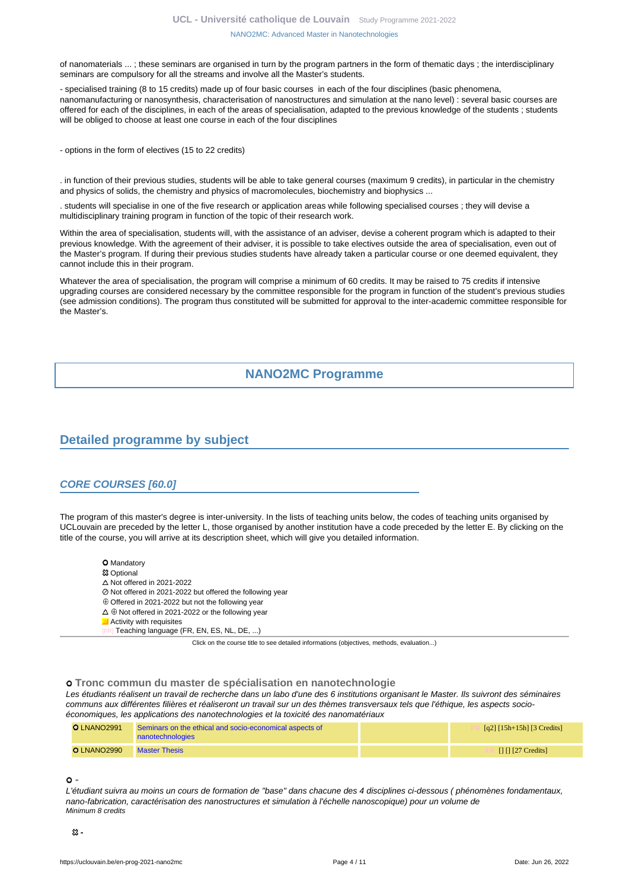of nanomaterials ... ; these seminars are organised in turn by the program partners in the form of thematic days ; the interdisciplinary seminars are compulsory for all the streams and involve all the Master's students.

- specialised training (8 to 15 credits) made up of four basic courses in each of the four disciplines (basic phenomena, nanomanufacturing or nanosynthesis, characterisation of nanostructures and simulation at the nano level) : several basic courses are offered for each of the disciplines, in each of the areas of specialisation, adapted to the previous knowledge of the students ; students will be obliged to choose at least one course in each of the four disciplines

- options in the form of electives (15 to 22 credits)

. in function of their previous studies, students will be able to take general courses (maximum 9 credits), in particular in the chemistry and physics of solids, the chemistry and physics of macromolecules, biochemistry and biophysics ...

. students will specialise in one of the five research or application areas while following specialised courses ; they will devise a multidisciplinary training program in function of the topic of their research work.

Within the area of specialisation, students will, with the assistance of an adviser, devise a coherent program which is adapted to their previous knowledge. With the agreement of their adviser, it is possible to take electives outside the area of specialisation, even out of the Master's program. If during their previous studies students have already taken a particular course or one deemed equivalent, they cannot include this in their program.

Whatever the area of specialisation, the program will comprise a minimum of 60 credits. It may be raised to 75 credits if intensive upgrading courses are considered necessary by the committee responsible for the program in function of the student's previous studies (see admission conditions). The program thus constituted will be submitted for approval to the inter-academic committee responsible for the Master's.

# **NANO2MC Programme**

# <span id="page-3-1"></span><span id="page-3-0"></span>**Detailed programme by subject**

### **CORE COURSES [60.0]**

The program of this master's degree is inter-university. In the lists of teaching units below, the codes of teaching units organised by UCLouvain are preceded by the letter L, those organised by another institution have a code preceded by the letter E. By clicking on the title of the course, you will arrive at its description sheet, which will give you detailed information.

- **O** Mandatory
- Optional
- $\Delta$  Not offered in 2021-2022
- Not offered in 2021-2022 but offered the following year
- $\oplus$  Offered in 2021-2022 but not the following year
- $\Delta \oplus$  Not offered in 2021-2022 or the following year
- **Activity with requisites** 
	- Teaching language (FR, EN, ES, NL, DE, ...)

Click on the course title to see detailed informations (objectives, methods, evaluation...)

### **Tronc commun du master de spécialisation en nanotechnologie**

Les étudiants réalisent un travail de recherche dans un labo d'une des 6 institutions organisant le Master. Ils suivront des séminaires communs aux différentes filières et réaliseront un travail sur un des thèmes transversaux tels que l'éthique, les aspects socioéconomiques, les applications des nanotechnologies et la toxicité des nanomatériaux

| <b>O</b> LNANO2991 | Seminars on the ethical and socio-economical aspects of<br>nanotechnologies | $\lceil q^2 \rceil [15h+15h]$ [3 Credits] |
|--------------------|-----------------------------------------------------------------------------|-------------------------------------------|
| <b>O</b> LNANO2990 | <b>Master Thesis</b>                                                        | $\Box$ $\Box$ [27 Credits]                |

### **-**

L'étudiant suivra au moins un cours de formation de "base" dans chacune des 4 disciplines ci-dessous ( phénomènes fondamentaux, nano-fabrication, caractérisation des nanostructures et simulation à l'échelle nanoscopique) pour un volume de Minimum 8 credits

<u>አን</u>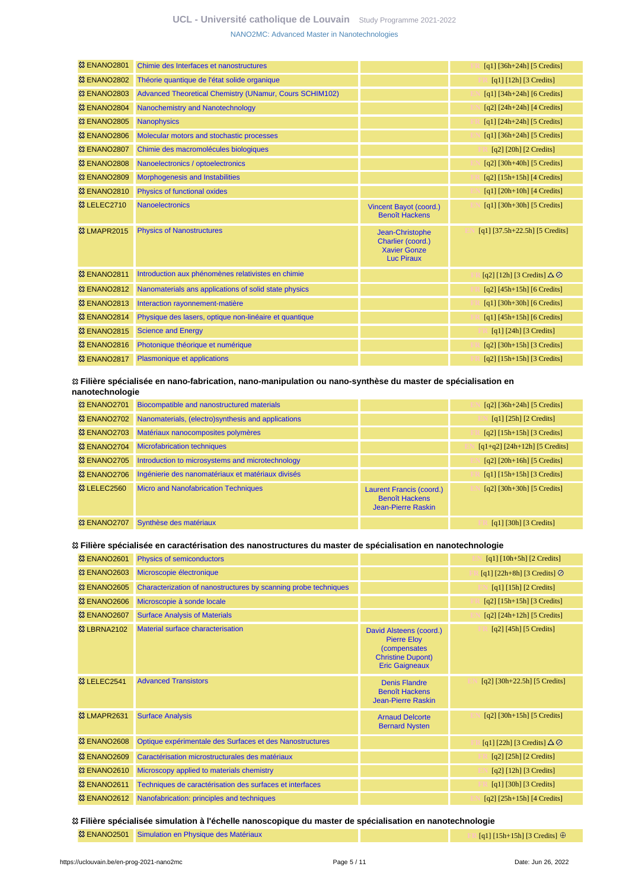## **UCL - Université catholique de Louvain** [Study Programme 2021-2022](https://uclouvain.be/en/study-programme) [NANO2MC: Advanced Master in Nanotechnologies](https://uclouvain.be/en-prog-2021-nano2mc.html)

| Chimie des Interfaces et nanostructures                 |                                                                                  | $[q1]$ [36h+24h] [5 Credits]            |
|---------------------------------------------------------|----------------------------------------------------------------------------------|-----------------------------------------|
| Théorie quantique de l'état solide organique            |                                                                                  | [q1] [12h] [3 Credits]                  |
| Advanced Theoretical Chemistry (UNamur, Cours SCHIM102) |                                                                                  | $[q1]$ [34h+24h] [6 Credits]            |
| Nanochemistry and Nanotechnology                        |                                                                                  | $[q2]$ $[24h+24h]$ $[4$ Credits]        |
| <b>Nanophysics</b>                                      |                                                                                  | $[q1]$ $[24h+24h]$ [5 Credits]          |
| Molecular motors and stochastic processes               |                                                                                  | $[q1]$ [36h+24h] [5 Credits]            |
| Chimie des macromolécules biologiques                   |                                                                                  | $[q2]$ [20h] [2 Credits]                |
| Nanoelectronics / optoelectronics                       |                                                                                  | $[q2]$ [30h+40h] [5 Credits]            |
| <b>Morphogenesis and Instabilities</b>                  |                                                                                  | $[q2]$ [15h+15h] [4 Credits]            |
| Physics of functional oxides                            |                                                                                  | $[q1]$ $[20h+10h]$ $[4$ Credits]        |
| <b>Nanoelectronics</b>                                  | Vincent Bayot (coord.)<br><b>Benoît Hackens</b>                                  | $[q1]$ [30h+30h] [5 Credits]            |
| <b>Physics of Nanostructures</b>                        | Jean-Christophe<br>Charlier (coord.)<br><b>Xavier Gonze</b><br><b>Luc Piraux</b> | $[q1]$ [37.5h+22.5h] [5 Credits]        |
| Introduction aux phénomènes relativistes en chimie      |                                                                                  | [q2] [12h] [3 Credits] $\Delta \oslash$ |
| Nanomaterials ans applications of solid state physics   |                                                                                  | $[q2]$ [45h+15h] [6 Credits]            |
| Interaction rayonnement-matière                         |                                                                                  | $[q1]$ [30h+30h] [6 Credits]            |
| Physique des lasers, optique non-linéaire et quantique  |                                                                                  | $[q1]$ [45h+15h] [6 Credits]            |
| <b>Science and Energy</b>                               |                                                                                  | $[q1]$ [24h] [3 Credits]                |
| Photonique théorique et numérique                       |                                                                                  | $[q2]$ [30h+15h] [3 Credits]            |
| <b>Plasmonique et applications</b>                      |                                                                                  | $[q2]$ [15h+15h] [3 Credits]            |
|                                                         |                                                                                  |                                         |

### **Filière spécialisée en nano-fabrication, nano-manipulation ou nano-synthèse du master de spécialisation en nanotechnologie**

| <b>&amp; ENANO2701</b> | Biocompatible and nanostructured materials          |                                                                         | $[q2]$ [36h+24h] [5 Credits]                                 |
|------------------------|-----------------------------------------------------|-------------------------------------------------------------------------|--------------------------------------------------------------|
| <b>&amp; ENANO2702</b> | Nanomaterials, (electro) synthesis and applications |                                                                         | $[q1]$ [25h] [2 Credits]                                     |
| <b>83 ENANO2703</b>    | Matériaux nanocomposites polymères                  |                                                                         | $[q2]$ [15h+15h] [3 Credits]                                 |
| <b>83 ENANO2704</b>    | <b>Microfabrication techniques</b>                  |                                                                         | $[q1+q2]$ [24h+12h] [5 Credits]                              |
| <b>83 ENANO2705</b>    | Introduction to microsystems and microtechnology    |                                                                         | $[q2]$ [20h+16h] [5 Credits]                                 |
| <b>83 ENANO2706</b>    | Ingénierie des nanomatériaux et matériaux divisés   |                                                                         | $[q1] [15h+15h] [3 Credits]$                                 |
| <sup>3</sup> LELEC2560 | <b>Micro and Nanofabrication Techniques</b>         | Laurent Francis (coord.)<br><b>Benoît Hackens</b><br>Jean-Pierre Raskin | $\lceil q^2 \rceil \lceil 30h + 30h \rceil \lceil 5 \right]$ |
| <b>&amp; ENANO2707</b> | Synthèse des matériaux                              |                                                                         | $\lceil q_1 \rceil$ [30h] [3 Credits]                        |

### **Filière spécialisée en caractérisation des nanostructures du master de spécialisation en nanotechnologie**

| <b>&amp; ENANO2601</b>               | <b>Physics of semiconductors</b>                                |                                                                                                                    | $[q1] [10h+5h] [2 Credits]$             |
|--------------------------------------|-----------------------------------------------------------------|--------------------------------------------------------------------------------------------------------------------|-----------------------------------------|
| <b>&amp; ENANO2603</b>               | Microscopie électronique                                        |                                                                                                                    | [q1] [22h+8h] [3 Credits] $\odot$       |
| <b>&amp; ENANO2605</b>               | Characterization of nanostructures by scanning probe techniques |                                                                                                                    | $[q1]$ [15h] [2 Credits]                |
| <b>&amp; ENANO2606</b>               | Microscopie à sonde locale                                      |                                                                                                                    | $[q2]$ [15h+15h] [3 Credits]            |
| <b>&amp; ENANO2607</b>               | <b>Surface Analysis of Materials</b>                            |                                                                                                                    | $[q2]$ $[24h+12h]$ $[5$ Credits]        |
| <b>&amp; LBRNA2102</b>               | Material surface characterisation                               | David Alsteens (coord.)<br><b>Pierre Eloy</b><br>(compensates<br><b>Christine Dupont)</b><br><b>Eric Gaigneaux</b> | $[q2]$ [45h] [5 Credits]                |
| <sup>3</sup> & LELEC <sub>2541</sub> | <b>Advanced Transistors</b>                                     | <b>Denis Flandre</b><br><b>Benoît Hackens</b><br><b>Jean-Pierre Raskin</b>                                         | $[q2]$ [30h+22.5h] [5 Credits]          |
| <b>&amp;3 LMAPR2631</b>              | <b>Surface Analysis</b>                                         | <b>Arnaud Delcorte</b><br><b>Bernard Nysten</b>                                                                    | $[q2]$ [30h+15h] [5 Credits]            |
| <b>&amp; ENANO2608</b>               | Optique expérimentale des Surfaces et des Nanostructures        |                                                                                                                    | [q1] [22h] [3 Credits] $\Delta \oslash$ |
| <b>&amp; ENANO2609</b>               | Caractérisation microstructurales des matériaux                 |                                                                                                                    | $[q2]$ [25h] [2 Credits]                |
| <b>&amp; ENANO2610</b>               | Microscopy applied to materials chemistry                       |                                                                                                                    | $[q2]$ [12h] [3 Credits]                |
| <b>&amp; ENANO2611</b>               | Techniques de caractérisation des surfaces et interfaces        |                                                                                                                    | $\lceil q_1 \rceil$ [30h] [3 Credits]   |
| <sup>33</sup> ENANO2612              | Nanofabrication: principles and techniques                      |                                                                                                                    | $[q2]$ [25h+15h] [4 Credits]            |

 **Filière spécialisée simulation à l'échelle nanoscopique du master de spécialisation en nanotechnologie <sup>23</sup> ENANO2501** [Simulation en Physique des Matériaux](https://uclouvain.be/cours-2021-ENANO2501) **FR FR** [q1] [15h+15h] [3 Credits] ⊕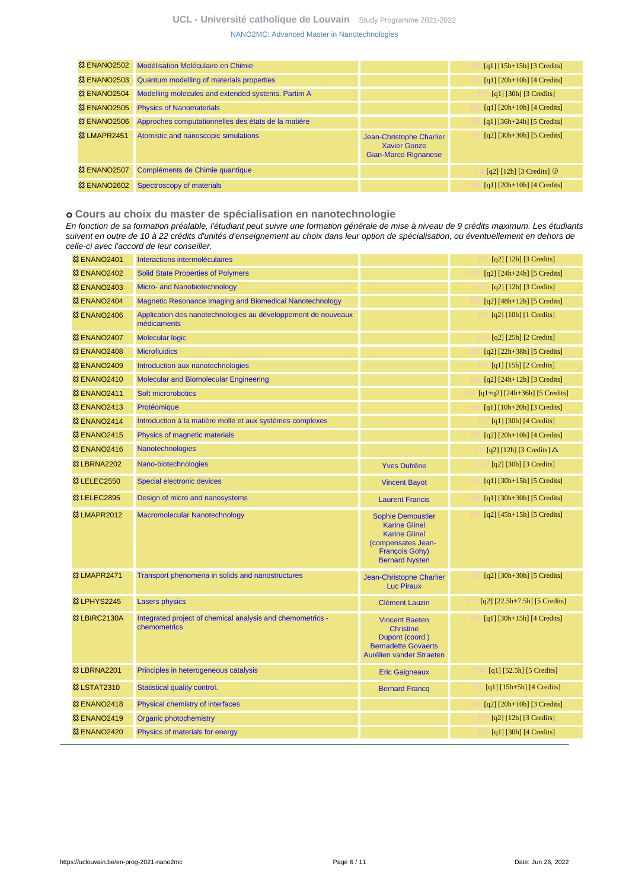## **UCL - Université catholique de Louvain** [Study Programme 2021-2022](https://uclouvain.be/en/study-programme) [NANO2MC: Advanced Master in Nanotechnologies](https://uclouvain.be/en-prog-2021-nano2mc.html)

| <b>&amp; ENANO2502</b> | Modélisation Moléculaire en Chimie                  |                                                                                | $\lceil q_1 \rceil \lceil 15h + 15h \rceil \lceil 3 \right]$             |
|------------------------|-----------------------------------------------------|--------------------------------------------------------------------------------|--------------------------------------------------------------------------|
| <b>&amp; ENANO2503</b> | <b>Quantum modelling of materials properties</b>    |                                                                                | $\lceil q_1 \rceil$ $\lceil 20h + 10h \rceil$ $\lceil 4 \right]$ Credits |
| <b>&amp; ENANO2504</b> | Modelling molecules and extended systems. Partim A  |                                                                                | $\lceil q_1 \rceil$ [30h] [3 Credits]                                    |
| <b>&amp; ENANO2505</b> | <b>Physics of Nanomaterials</b>                     |                                                                                | $\lceil q_1 \rceil$ $\lceil 20h + 10h \rceil$ $\lceil 4 \right]$ Credits |
| <b>&amp; ENANO2506</b> | Approches computationnelles des états de la matière |                                                                                | $[q1]$ [36h+24h] [5 Credits]                                             |
| <b>&amp; LMAPR2451</b> | Atomistic and nanoscopic simulations                | Jean-Christophe Charlier<br><b>Xavier Gonze</b><br><b>Gian-Marco Rignanese</b> | $[q2]$ [30h+30h] [5 Credits]                                             |
| <b>&amp; ENANO2507</b> | Compléments de Chimie quantique                     |                                                                                | [q2] [12h] [3 Credits] $\oplus$                                          |
| <b>&amp; ENANO2602</b> | Spectroscopy of materials                           |                                                                                | $\lceil q_1 \rceil$ $\lceil 20h + 10h \rceil$ $\lceil 4 \right]$ Credits |

### **Cours au choix du master de spécialisation en nanotechnologie**

En fonction de sa formation préalable, l'étudiant peut suivre une formation générale de mise à niveau de 9 crédits maximum. Les étudiants suivent en outre de 10 à 22 crédits d'unités d'enseignement au choix dans leur option de spécialisation, ou éventuellement en dehors de celle-ci avec l'accord de leur conseiller.

| <b>&amp; ENANO2401</b>  | Interactions intermoléculaires                                               |                                                                                                                                                  | $[q2]$ [12h] [3 Credits]            |
|-------------------------|------------------------------------------------------------------------------|--------------------------------------------------------------------------------------------------------------------------------------------------|-------------------------------------|
| <b>&amp; ENANO2402</b>  | <b>Solid State Properties of Polymers</b>                                    |                                                                                                                                                  | $[q2]$ [24h+24h] [5 Credits]        |
| <b>&amp; ENANO2403</b>  | Micro- and Nanobiotechnology                                                 |                                                                                                                                                  | $[q2]$ [12h] [3 Credits]            |
| <b>&amp; ENANO2404</b>  | <b>Magnetic Resonance Imaging and Biomedical Nanotechnology</b>              |                                                                                                                                                  | $[q2] [48h+12h] [5 Credits]$        |
| <b>&amp; ENANO2406</b>  | Application des nanotechnologies au développement de nouveaux<br>médicaments |                                                                                                                                                  | $[q2]$ [10h] [1 Credits]            |
| <b>&amp; ENANO2407</b>  | <b>Molecular logic</b>                                                       |                                                                                                                                                  | $[q2]$ [25h] [2 Credits]            |
| <b>83 ENANO2408</b>     | <b>Microfluidics</b>                                                         |                                                                                                                                                  | $[q2]$ [22h+38h] [5 Credits]        |
| <b>&amp; ENANO2409</b>  | Introduction aux nanotechnologies                                            |                                                                                                                                                  | $[q1]$ [15h] [2 Credits]            |
| <b>8 ENANO2410</b>      | <b>Molecular and Biomolecular Engineering</b>                                |                                                                                                                                                  | $[q2]$ [24h+12h] [3 Credits]        |
| <sup>33</sup> ENANO2411 | Soft microrobotics                                                           |                                                                                                                                                  | $[q1+q2]$ [24h+36h] [5 Credits]     |
| <sup>33</sup> ENANO2413 | Protéomique                                                                  |                                                                                                                                                  | $[q1]$ [10h+20h] [3 Credits]        |
| <b>83 ENANO2414</b>     | Introduction à la matière molle et aux systèmes complexes                    |                                                                                                                                                  | $[q1]$ [30h] [4 Credits]            |
| <sup>33</sup> ENANO2415 | Physics of magnetic materials                                                |                                                                                                                                                  | $[q2]$ [20h+10h] [4 Credits]        |
| <b>&amp; ENANO2416</b>  | <b>Nanotechnologies</b>                                                      |                                                                                                                                                  | [q2] [12h] [3 Credits] $\Delta$     |
| <b>&amp; LBRNA2202</b>  | Nano-biotechnologies                                                         | <b>Yves Dufrêne</b>                                                                                                                              | $[q2]$ [30h] [3 Credits]            |
| <b>83 LELEC2550</b>     | Special electronic devices                                                   | <b>Vincent Bayot</b>                                                                                                                             | $[q1]$ [30h+15h] [5 Credits]        |
| <b>83 LELEC2895</b>     | Design of micro and nanosystems                                              | <b>Laurent Francis</b>                                                                                                                           | $[q1]$ [30h+30h] [5 Credits]        |
| <b>&amp; LMAPR2012</b>  | Macromolecular Nanotechnology                                                | <b>Sophie Demoustier</b><br><b>Karine Glinel</b><br><b>Karine Glinel</b><br>(compensates Jean-<br><b>François Gohy)</b><br><b>Bernard Nysten</b> | $[q2]$ [45h+15h] [5 Credits]        |
| <b>83 LMAPR2471</b>     | Transport phenomena in solids and nanostructures                             | Jean-Christophe Charlier<br><b>Luc Piraux</b>                                                                                                    | $[q2]$ [30h+30h] [5 Credits]        |
| <sup>3</sup> LPHYS2245  | <b>Lasers physics</b>                                                        | <b>Clément Lauzin</b>                                                                                                                            | $[q2]$ $[22.5h+7.5h]$ $[5$ Credits] |
| <sup>3</sup> LBIRC2130A | Integrated project of chemical analysis and chemometrics -<br>chemometrics   | <b>Vincent Baeten</b><br><b>Christine</b><br>Dupont (coord.)<br><b>Bernadette Govaerts</b><br>Aurélien vander Straeten                           | $[q1]$ [30h+15h] [4 Credits]        |
| <sup>33</sup> LBRNA2201 | Principles in heterogeneous catalysis                                        | <b>Eric Gaigneaux</b>                                                                                                                            | $[q1]$ [52.5h] [5 Credits]          |
| <b>83 LSTAT2310</b>     | Statistical quality control.                                                 | <b>Bernard Francq</b>                                                                                                                            | $[q1]$ [15h+5h] [4 Credits]         |
| <b>&amp; ENANO2418</b>  | Physical chemistry of interfaces                                             |                                                                                                                                                  | $[q2]$ [20h+10h] [3 Credits]        |
| <b>&amp; ENANO2419</b>  | <b>Organic photochemistry</b>                                                |                                                                                                                                                  | $[q2]$ [12h] [3 Credits]            |
| <b>© ENANO2420</b>      | Physics of materials for energy                                              |                                                                                                                                                  | $[q1]$ [30h] [4 Credits]            |
|                         |                                                                              |                                                                                                                                                  |                                     |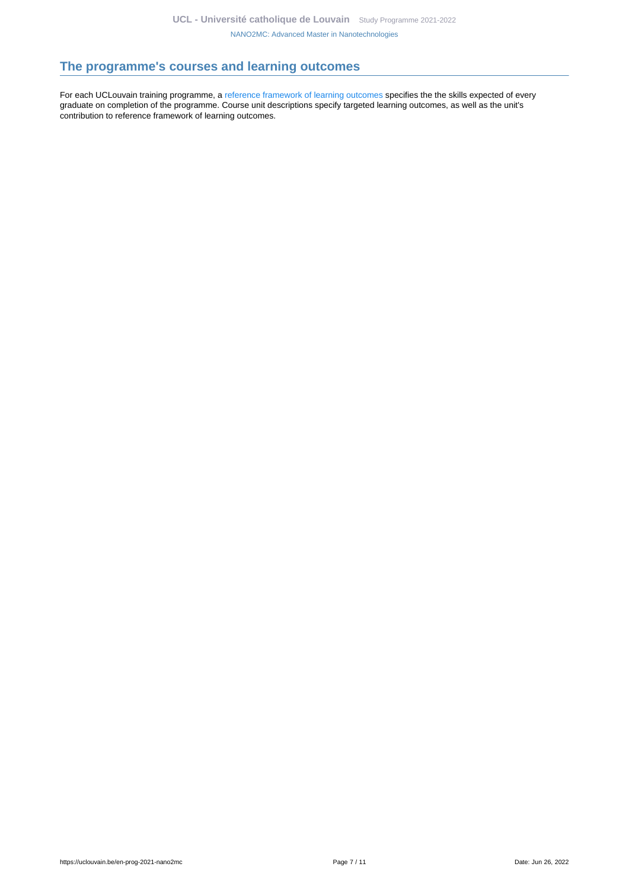# <span id="page-6-0"></span>**The programme's courses and learning outcomes**

For each UCLouvain training programme, a [reference framework of learning outcomes](https://uclouvain.be/en-prog-2021-nano2mc-competences_et_acquis.html) specifies the the skills expected of every graduate on completion of the programme. Course unit descriptions specify targeted learning outcomes, as well as the unit's contribution to reference framework of learning outcomes.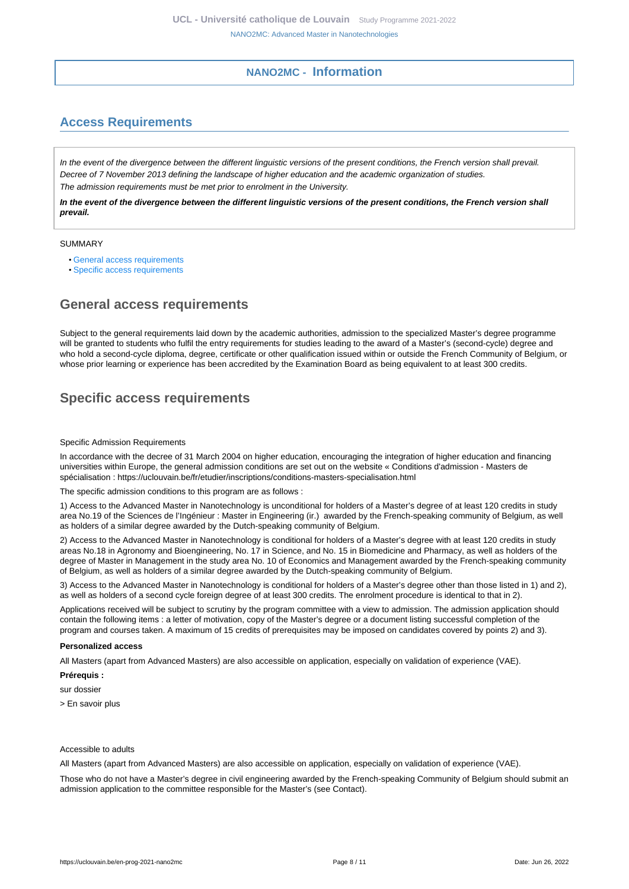## **NANO2MC - Information**

# <span id="page-7-1"></span><span id="page-7-0"></span>**Access Requirements**

In the event of the divergence between the different linguistic versions of the present conditions, the French version shall prevail. Decree of 7 November 2013 defining the landscape of higher education and the academic organization of studies. The admission requirements must be met prior to enrolment in the University.

**In the event of the divergence between the different linguistic versions of the present conditions, the French version shall prevail.**

### SUMMARY

- [General access requirements](#page-7-2)
- [Specific access requirements](#page-7-3)

# <span id="page-7-2"></span>**General access requirements**

Subject to the general requirements laid down by the academic authorities, admission to the specialized Master's degree programme will be granted to students who fulfil the entry requirements for studies leading to the award of a Master's (second-cycle) degree and who hold a second-cycle diploma, degree, certificate or other qualification issued within or outside the French Community of Belgium, or whose prior learning or experience has been accredited by the Examination Board as being equivalent to at least 300 credits.

# <span id="page-7-3"></span>**Specific access requirements**

#### Specific Admission Requirements

In accordance with the decree of 31 March 2004 on higher education, encouraging the integration of higher education and financing universities within Europe, the general admission conditions are set out on the website « Conditions d'admission - Masters de spécialisation : https://uclouvain.be/fr/etudier/inscriptions/conditions-masters-specialisation.html

The specific admission conditions to this program are as follows :

1) Access to the Advanced Master in Nanotechnology is unconditional for holders of a Master's degree of at least 120 credits in study area No.19 of the Sciences de l'Ingénieur : Master in Engineering (ir.) awarded by the French-speaking community of Belgium, as well as holders of a similar degree awarded by the Dutch-speaking community of Belgium.

2) Access to the Advanced Master in Nanotechnology is conditional for holders of a Master's degree with at least 120 credits in study areas No.18 in Agronomy and Bioengineering, No. 17 in Science, and No. 15 in Biomedicine and Pharmacy, as well as holders of the degree of Master in Management in the study area No. 10 of Economics and Management awarded by the French-speaking community of Belgium, as well as holders of a similar degree awarded by the Dutch-speaking community of Belgium.

3) Access to the Advanced Master in Nanotechnology is conditional for holders of a Master's degree other than those listed in 1) and 2), as well as holders of a second cycle foreign degree of at least 300 credits. The enrolment procedure is identical to that in 2).

Applications received will be subject to scrutiny by the program committee with a view to admission. The admission application should contain the following items : a letter of motivation, copy of the Master's degree or a document listing successful completion of the program and courses taken. A maximum of 15 credits of prerequisites may be imposed on candidates covered by points 2) and 3).

### **Personalized access**

All Masters (apart from Advanced Masters) are also accessible on application, especially on validation of experience (VAE).

**Prérequis :**

sur dossier

> En savoir plus

### Accessible to adults

All Masters (apart from Advanced Masters) are also accessible on application, especially on validation of experience (VAE).

Those who do not have a Master's degree in civil engineering awarded by the French-speaking Community of Belgium should submit an admission application to the committee responsible for the Master's (see Contact).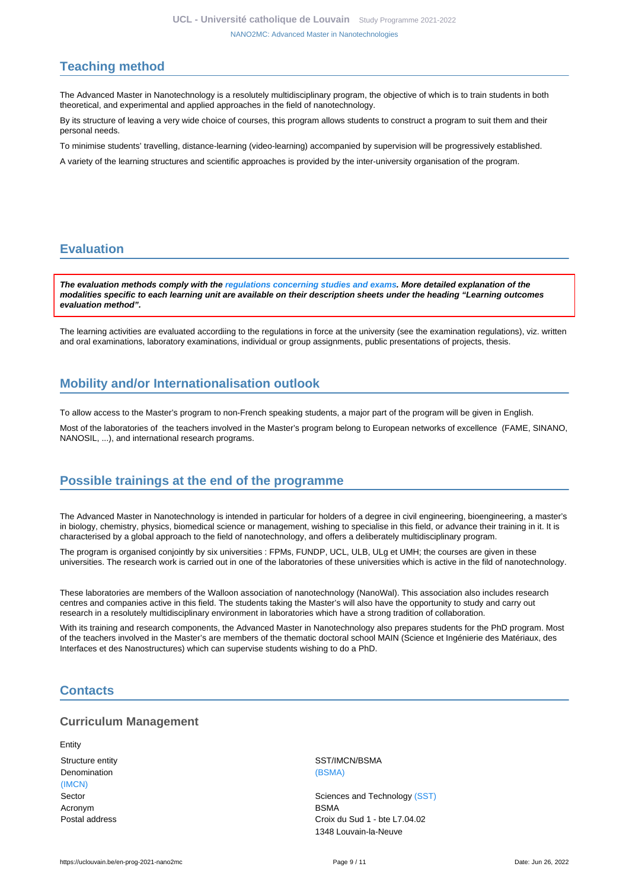# <span id="page-8-0"></span>**Teaching method**

The Advanced Master in Nanotechnology is a resolutely multidisciplinary program, the objective of which is to train students in both theoretical, and experimental and applied approaches in the field of nanotechnology.

By its structure of leaving a very wide choice of courses, this program allows students to construct a program to suit them and their personal needs.

To minimise students' travelling, distance-learning (video-learning) accompanied by supervision will be progressively established.

A variety of the learning structures and scientific approaches is provided by the inter-university organisation of the program.

# <span id="page-8-1"></span>**Evaluation**

**The evaluation methods comply with the [regulations concerning studies and exams](https://uclouvain.be/fr/decouvrir/rgee.html). More detailed explanation of the modalities specific to each learning unit are available on their description sheets under the heading "Learning outcomes evaluation method".**

The learning activities are evaluated accordiing to the regulations in force at the university (see the examination regulations), viz. written and oral examinations, laboratory examinations, individual or group assignments, public presentations of projects, thesis.

# <span id="page-8-2"></span>**Mobility and/or Internationalisation outlook**

To allow access to the Master's program to non-French speaking students, a major part of the program will be given in English.

Most of the laboratories of the teachers involved in the Master's program belong to European networks of excellence (FAME, SINANO, NANOSIL, ...), and international research programs.

# <span id="page-8-3"></span>**Possible trainings at the end of the programme**

The Advanced Master in Nanotechnology is intended in particular for holders of a degree in civil engineering, bioengineering, a master's in biology, chemistry, physics, biomedical science or management, wishing to specialise in this field, or advance their training in it. It is characterised by a global approach to the field of nanotechnology, and offers a deliberately multidisciplinary program.

The program is organised conjointly by six universities : FPMs, FUNDP, UCL, ULB, ULg et UMH; the courses are given in these universities. The research work is carried out in one of the laboratories of these universities which is active in the fild of nanotechnology.

These laboratories are members of the Walloon association of nanotechnology (NanoWal). This association also includes research centres and companies active in this field. The students taking the Master's will also have the opportunity to study and carry out research in a resolutely multidisciplinary environment in laboratories which have a strong tradition of collaboration.

With its training and research components, the Advanced Master in Nanotechnology also prepares students for the PhD program. Most of the teachers involved in the Master's are members of the thematic doctoral school MAIN (Science et Ingénierie des Matériaux, des Interfaces et des Nanostructures) which can supervise students wishing to do a PhD.

# <span id="page-8-4"></span>**Contacts**

## **Curriculum Management**

Entity Denomination [\(BSMA\)](https://uclouvain.be/repertoires/entites/bsma) [\(IMCN\)](https://uclouvain.be/repertoires/entites/imcn) Acronym BSMA

Structure entity Structure entity SST/IMCN/BSMA

Sector Sector Sector Sciences and Technology [\(SST\)](https://uclouvain.be/repertoires/entites/sst) Postal address Croix du Sud 1 - bte L7.04.02 1348 Louvain-la-Neuve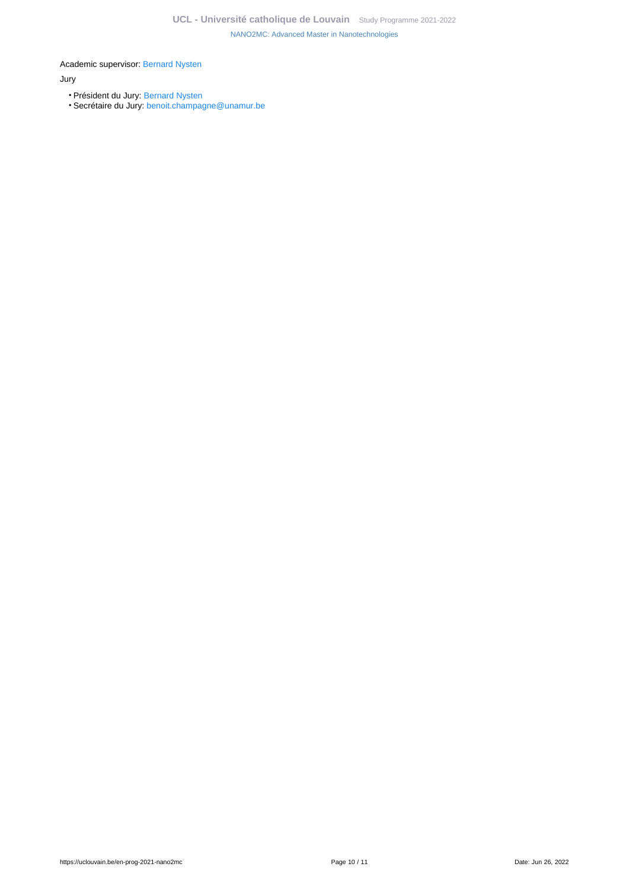Academic supervisor: [Bernard Nysten](https://uclouvain.be/repertoires/bernard.nysten)

### Jury

- Président du Jury: [Bernard Nysten](https://uclouvain.be/repertoires/bernard.nysten)
- Secrétaire du Jury: [benoit.champagne@unamur.be](https://uclouvain.be/mailto:benoit.champagne@unamur.be)